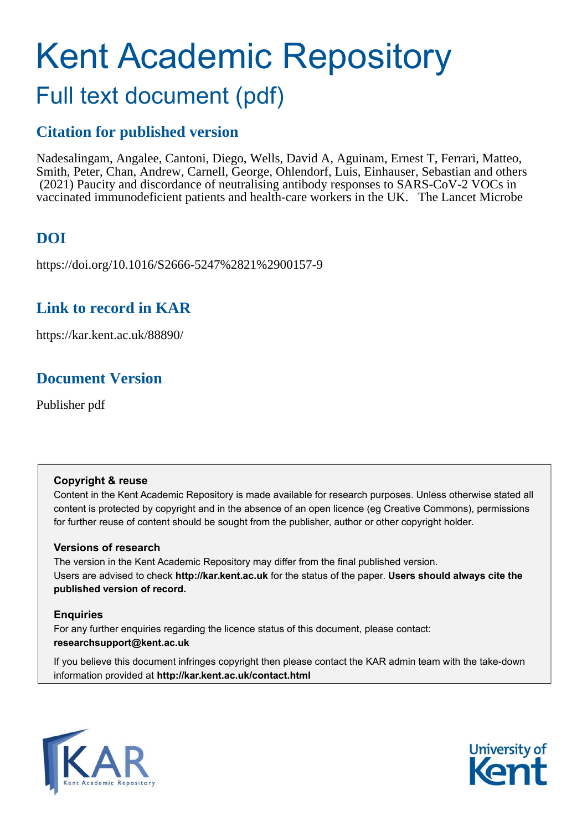# Kent Academic Repository Full text document (pdf)

### **Citation for published version**

Nadesalingam, Angalee, Cantoni, Diego, Wells, David A, Aguinam, Ernest T, Ferrari, Matteo, Smith, Peter, Chan, Andrew, Carnell, George, Ohlendorf, Luis, Einhauser, Sebastian and others (2021) Paucity and discordance of neutralising antibody responses to SARS-CoV-2 VOCs in vaccinated immunodeficient patients and health-care workers in the UK. The Lancet Microbe

# **DOI**

https://doi.org/10.1016/S2666-5247%2821%2900157-9

# **Link to record in KAR**

https://kar.kent.ac.uk/88890/

# **Document Version**

Publisher pdf

#### **Copyright & reuse**

Content in the Kent Academic Repository is made available for research purposes. Unless otherwise stated all content is protected by copyright and in the absence of an open licence (eg Creative Commons), permissions for further reuse of content should be sought from the publisher, author or other copyright holder.

#### **Versions of research**

The version in the Kent Academic Repository may differ from the final published version. Users are advised to check **http://kar.kent.ac.uk** for the status of the paper. **Users should always cite the published version of record.**

#### **Enquiries**

For any further enquiries regarding the licence status of this document, please contact: **researchsupport@kent.ac.uk**

If you believe this document infringes copyright then please contact the KAR admin team with the take-down information provided at **http://kar.kent.ac.uk/contact.html**



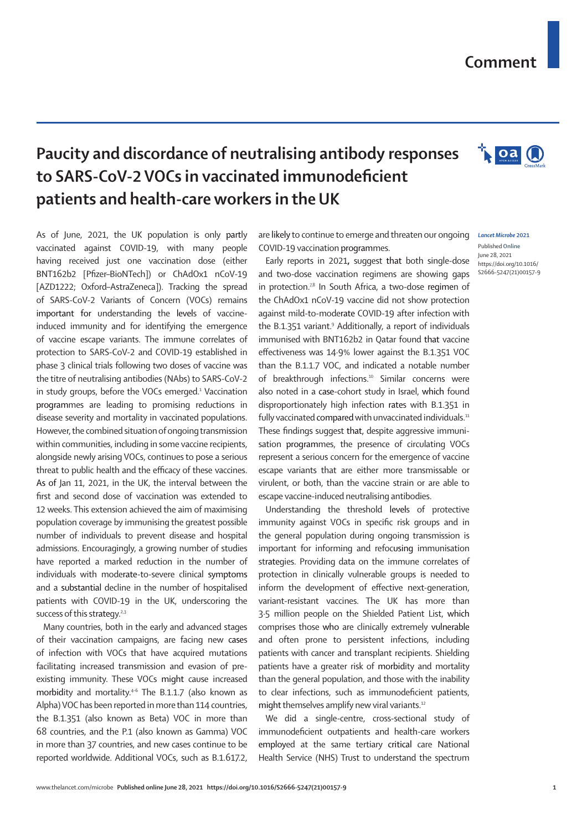### **Comment**

# **Paucity and discordance of neutralising antibody responses to SARS-CoV-2 VOCs in vaccinated immunodeficient patients and health-care workers in the UK**



#### As of June, 2021, the UK population is only partly vaccinated against COVID-19, with many people having received just one vaccination dose (either BNT162b2 [Pfizer–BioNTech]) or ChAdOx1 nCoV-19 [AZD1222; Oxford–AstraZeneca]). Tracking the spread of SARS-CoV-2 Variants of Concern (VOCs) remains important for understanding the levels of vaccineinduced immunity and for identifying the emergence of vaccine escape variants. The immune correlates of protection to SARS-CoV-2 and COVID-19 established in phase 3 clinical trials following two doses of vaccine was the titre of neutralising antibodies (NAbs) to SARS-CoV-2 in study groups, before the VOCs emerged.<sup>1</sup> Vaccination programmes are leading to promising reductions in disease severity and mortality in vaccinated populations. However, the combined situation of ongoing transmission within communities, including in some vaccine recipients, alongside newly arising VOCs, continues to pose a serious threat to public health and the efficacy of these vaccines. As of Jan 11, 2021, in the UK, the interval between the first and second dose of vaccination was extended to 12 weeks. This extension achieved the aim of maximising population coverage by immunising the greatest possible number of individuals to prevent disease and hospital admissions. Encouragingly, a growing number of studies have reported a marked reduction in the number of individuals with moderate-to-severe clinical symptoms and a substantial decline in the number of hospitalised patients with COVID-19 in the UK, underscoring the success of this strategy.<sup>2,3</sup>

Many countries, both in the early and advanced stages of their vaccination campaigns, are facing new cases of infection with VOCs that have acquired mutations facilitating increased transmission and evasion of preexisting immunity. These VOCs might cause increased morbidity and mortality.<sup>4-6</sup> The B.1.1.7 (also known as Alpha) VOC has been reported in more than 114 countries, the B.1.351 (also known as Beta) VOC in more than 68 countries, and the P.1 (also known as Gamma) VOC in more than 37 countries, and new cases continue to be reported worldwide. Additional VOCs, such as B.1.617.2, are likely to continue to emerge and threaten our ongoing COVID-19 vaccination programmes.

Early reports in 2021**,** suggest that both single-dose and two-dose vaccination regimens are showing gaps in protection.<sup>7,8</sup> In South Africa, a two-dose regimen of the ChAdOx1 nCoV-19 vaccine did not show protection against mild-to-moderate COVID-19 after infection with the B.1.351 variant.<sup>9</sup> Additionally, a report of individuals immunised with BNT162b2 in Qatar found that vaccine effectiveness was 14·9% lower against the B.1.351 VOC than the B.1.1.7 VOC, and indicated a notable number of breakthrough infections.<sup>10</sup> Similar concerns were also noted in a case-cohort study in Israel, which found disproportionately high infection rates with B.1.351 in fully vaccinated compared with unvaccinated individuals.<sup>11</sup> These findings suggest that, despite aggressive immunisation programmes, the presence of circulating VOCs represent a serious concern for the emergence of vaccine escape variants that are either more transmissable or virulent, or both, than the vaccine strain or are able to escape vaccine-induced neutralising antibodies.

Understanding the threshold levels of protective immunity against VOCs in specific risk groups and in the general population during ongoing transmission is important for informing and refocusing immunisation strategies. Providing data on the immune correlates of protection in clinically vulnerable groups is needed to inform the development of effective next-generation, variant-resistant vaccines. The UK has more than 3·5 million people on the Shielded Patient List, which comprises those who are clinically extremely vulnerable and often prone to persistent infections, including patients with cancer and transplant recipients. Shielding patients have a greater risk of morbidity and mortality than the general population, and those with the inability to clear infections, such as immunodeficient patients, might themselves amplify new viral variants.<sup>12</sup>

We did a single-centre, cross-sectional study of immunodeficient outpatients and health-care workers employed at the same tertiary critical care National Health Service (NHS) Trust to understand the spectrum

#### *Lancet Microbe* **2021** Published **Online**

June 28, 2021 https://doi.org/10.1016/ S2666-5247(21)00157-9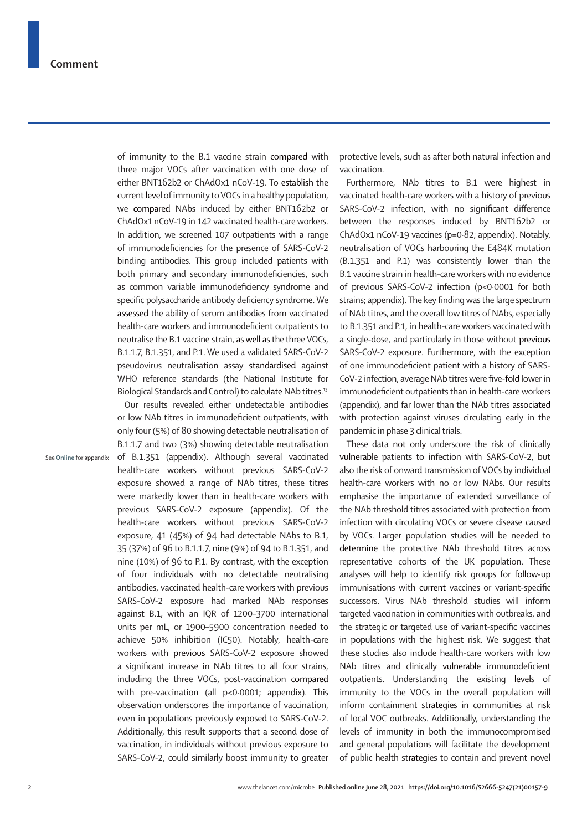of immunity to the B.1 vaccine strain compared with three major VOCs after vaccination with one dose of either BNT162b2 or ChAdOx1 nCoV-19. To establish the current level of immunity to VOCs in a healthy population, we compared NAbs induced by either BNT162b2 or ChAdOx1 nCoV-19 in 142 vaccinated health-care workers. In addition, we screened 107 outpatients with a range of immunodeficiencies for the presence of SARS-CoV-2 binding antibodies. This group included patients with both primary and secondary immunodeficiencies, such as common variable immunodeficiency syndrome and specific polysaccharide antibody deficiency syndrome. We assessed the ability of serum antibodies from vaccinated health-care workers and immunodeficient outpatients to neutralise the B.1 vaccine strain, as well as the three VOCs, B.1.1.7, B.1.351, and P.1. We used a validated SARS-CoV-2 pseudovirus neutralisation assay standardised against WHO reference standards (the National Institute for Biological Standards and Control) to calculate NAb titres.<sup>13</sup>

Our results revealed either undetectable antibodies or low NAb titres in immunodeficient outpatients, with only four (5%) of 80 showing detectable neutralisation of B.1.1.7 and two (3%) showing detectable neutralisation of B.1.351 (appendix). Although several vaccinated health-care workers without previous SARS-CoV-2 exposure showed a range of NAb titres, these titres were markedly lower than in health-care workers with previous SARS-CoV-2 exposure (appendix). Of the health-care workers without previous SARS-CoV-2 exposure, 41 (45%) of 94 had detectable NAbs to B.1, 35 (37%) of 96 to B.1.1.7, nine (9%) of 94 to B.1.351, and nine (10%) of 96 to P.1. By contrast, with the exception of four individuals with no detectable neutralising antibodies, vaccinated health-care workers with previous SARS-CoV-2 exposure had marked NAb responses against B.1, with an IQR of 1200–3700 international units per mL, or 1900–5900 concentration needed to achieve 50% inhibition (IC50). Notably, health-care workers with previous SARS-CoV-2 exposure showed a significant increase in NAb titres to all four strains, including the three VOCs, post-vaccination compared with pre-vaccination (all p<0·0001; appendix). This observation underscores the importance of vaccination, even in populations previously exposed to SARS-CoV-2. Additionally, this result supports that a second dose of vaccination, in individuals without previous exposure to SARS-CoV-2, could similarly boost immunity to greater protective levels, such as after both natural infection and vaccination.

Furthermore, NAb titres to B.1 were highest in vaccinated health-care workers with a history of previous SARS-CoV-2 infection, with no significant difference between the responses induced by BNT162b2 or ChAdOx1 nCoV-19 vaccines (p=0·82; appendix). Notably, neutralisation of VOCs harbouring the E484K mutation (B.1.351 and P.1) was consistently lower than the B.1 vaccine strain in health-care workers with no evidence of previous SARS-CoV-2 infection (p<0·0001 for both strains; appendix). The key finding was the large spectrum of NAb titres, and the overall low titres of NAbs, especially to B.1.351 and P.1, in health-care workers vaccinated with a single-dose, and particularly in those without previous SARS-CoV-2 exposure. Furthermore, with the exception of one immunodeficient patient with a history of SARS-CoV-2 infection, average NAb titres were five-fold lower in immunodeficient outpatients than in health-care workers (appendix), and far lower than the NAb titres associated with protection against viruses circulating early in the pandemic in phase 3 clinical trials.

These data not only underscore the risk of clinically vulnerable patients to infection with SARS-CoV-2, but also the risk of onward transmission of VOCs by individual health-care workers with no or low NAbs. Our results emphasise the importance of extended surveillance of the NAb threshold titres associated with protection from infection with circulating VOCs or severe disease caused by VOCs. Larger population studies will be needed to determine the protective NAb threshold titres across representative cohorts of the UK population. These analyses will help to identify risk groups for follow-up immunisations with current vaccines or variant-specific successors. Virus NAb threshold studies will inform targeted vaccination in communities with outbreaks, and the strategic or targeted use of variant-specific vaccines in populations with the highest risk. We suggest that these studies also include health-care workers with low NAb titres and clinically vulnerable immunodeficient outpatients. Understanding the existing levels of immunity to the VOCs in the overall population will inform containment strategies in communities at risk of local VOC outbreaks. Additionally, understanding the levels of immunity in both the immunocompromised and general populations will facilitate the development of public health strategies to contain and prevent novel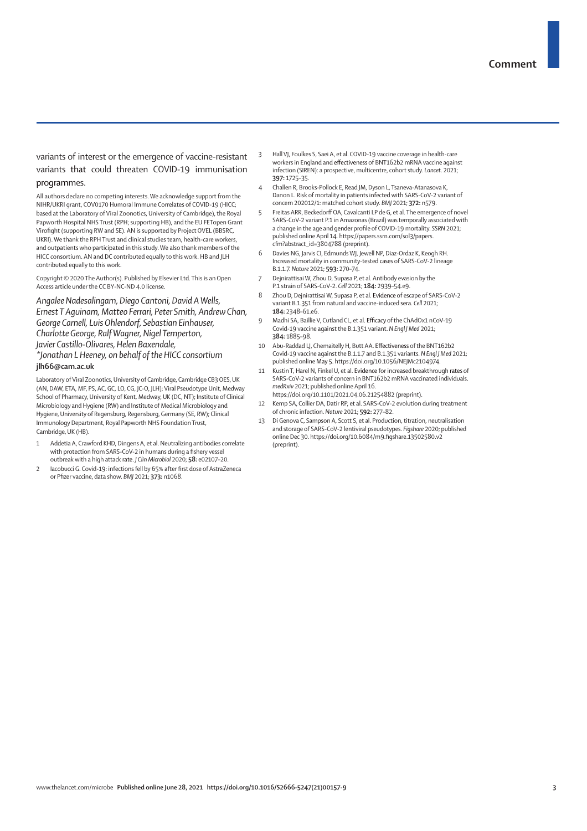#### variants of interest or the emergence of vaccine-resistant variants that could threaten COVID-19 immunisation programmes.

All authors declare no competing interests. We acknowledge support from the NIHR/UKRI grant, COV0170 Humoral Immune Correlates of COVID-19 (HICC; based at the Laboratory of Viral Zoonotics, University of Cambridge), the Royal Papworth Hospital NHS Trust (RPH; supporting HB), and the EU FETopen Grant Virofight (supporting RW and SE). AN is supported by Project OVEL (BBSRC, UKRI). We thank the RPH Trust and clinical studies team, health-care workers, and outpatients who participated in this study. We also thank members of the HICC consortium. AN and DC contributed equally to this work. HB and JLH contributed equally to this work.

Copyright © 2020 The Author(s). Published by Elsevier Ltd. This is an Open Access article under the CC BY-NC-ND 4.0 license.

*Angalee Nadesalingam, Diego Cantoni, David A Wells, Ernest T Aguinam, Matteo Ferrari, Peter Smith, Andrew Chan, George Carnell, Luis Ohlendorf, Sebastian Einhauser, Charlotte George, Ralf Wagner, Nigel Temperton, Javier Castillo-Olivares, Helen Baxendale, \*Jonathan L Heeney, on behalf of the HICC consortium* **jlh66@cam.ac.uk**

Laboratory of Viral Zoonotics, University of Cambridge, Cambridge CB3 OES, UK (AN, DAW, ETA, MF, PS, AC, GC, LO, CG, JC-O, JLH); Viral Pseudotype Unit, Medway School of Pharmacy, University of Kent, Medway, UK (DC, NT); Institute of Clinical Microbiology and Hygiene (RW) and Institute of Medical Microbiology and Hygiene, University of Regensburg, Regensburg, Germany (SE, RW); Clinical Immunology Department, Royal Papworth NHS Foundation Trust, Cambridge, UK (HB).

- 1 Addetia A, Crawford KHD, Dingens A, et al. Neutralizing antibodies correlate with protection from SARS-CoV-2 in humans during a fishery vessel outbreak with a high attack rate. *J Clin Microbiol* 2020; **58:** e02107–20.
- lacobucci G. Covid-19: infections fell by 65% after first dose of AstraZeneca or Pfizer vaccine, data show. *BMJ* 2021; **373:** n1068.
- 3 Hall VJ, Foulkes S, Saei A, et al. COVID-19 vaccine coverage in health-care workers in England and effectiveness of BNT162b2 mRNA vaccine against infection (SIREN): a prospective, multicentre, cohort study. *Lancet*. 2021; **397:** 1725–35.
- 4 Challen R, Brooks-Pollock E, Read JM, Dyson L, Tsaneva-Atanasova K, Danon L. Risk of mortality in patients infected with SARS-CoV-2 variant of concern 202012/1: matched cohort study. *BMJ* 2021; **372:** n579.
- 5 Freitas ARR, Beckedorff OA, Cavalcanti LP de G, et al. The emergence of novel SARS-CoV-2 variant P.1 in Amazonas (Brazil) was temporally associated with a change in the age and gender profile of COVID-19 mortality. *SSRN* 2021; published online April 14. https://papers.ssrn.com/sol3/papers. cfm?abstract\_id=3804788 (preprint).
- 6 Davies NG, Jarvis CI, Edmunds WJ, Jewell NP, Diaz-Ordaz K, Keogh RH. Increased mortality in community-tested cases of SARS-CoV-2 lineage B.1.1.7. *Nature* 2021; **593:** 270–74.
- 7 Dejnirattisai W, Zhou D, Supasa P, et al. Antibody evasion by the P.1 strain of SARS-CoV-2. *Cell* 2021; **184:** 2939–54.e9.
- 8 Zhou D, Dejnirattisai W, Supasa P, et al. Evidence of escape of SARS-CoV-2 variant B.1.351 from natural and vaccine-induced sera. *Cell* 2021; **184:** 2348–61.e6.
- 9 Madhi SA, Baillie V, Cutland CL, et al. Efficacy of the ChAdOx1 nCoV-19 Covid-19 vaccine against the B.1.351 variant. *N Engl J Med* 2021; **384:** 1885–98.
- 10 Abu-Raddad LJ, Chemaitelly H, Butt AA. Effectiveness of the BNT162b2 Covid-19 vaccine against the B.1.1.7 and B.1.351 variants. *N Engl J Med* 2021; published online May 5. https://doi.org/10.1056/NEJMc2104974.
- Kustin T, Harel N, Finkel U, et al. Evidence for increased breakthrough rates of SARS-CoV-2 variants of concern in BNT162b2 mRNA vaccinated individuals. *medRxiv* 2021; published online April 16. https://doi.org/10.1101/2021.04.06.21254882 (preprint).
- 12 Kemp SA, Collier DA, Datir RP, et al. SARS-CoV-2 evolution during treatment of chronic infection. *Nature* 2021; **592:** 277–82.
- Di Genova C, Sampson A, Scott S, et al. Production, titration, neutralisation and storage of SARS-CoV-2 lentiviral pseudotypes. *Figshare* 2020; published online Dec 30. https://doi.org/10.6084/m9.figshare.13502580.v2 (preprint).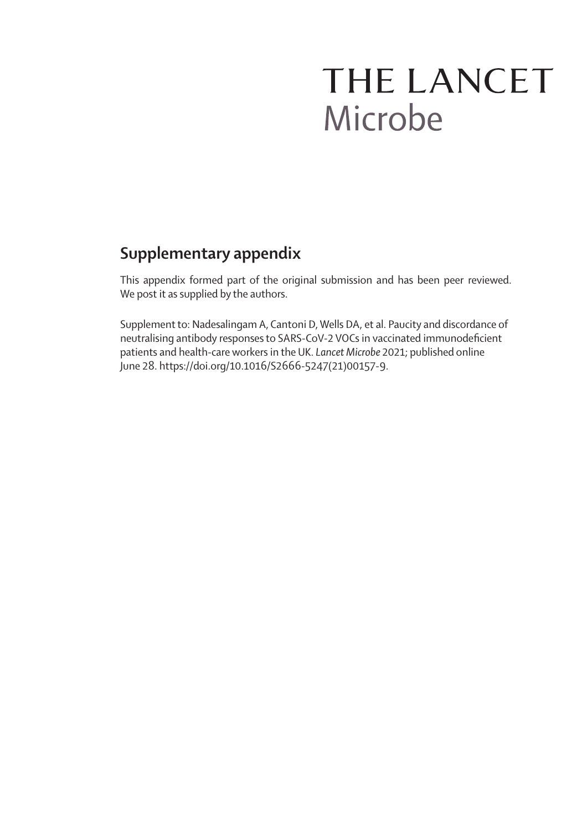# THE LANCET Microbe

# **Supplementary appendix**

This appendix formed part of the original submission and has been peer reviewed. We post it as supplied by the authors.

Supplement to: Nadesalingam A, Cantoni D, Wells DA, et al. Paucity and discordance of neutralising antibody responses to SARS-CoV-2 VOCs in vaccinated immunodeficient patients and health-care workers in the UK. *Lancet Microbe* 2021; published online June 28. https://doi.org/10.1016/S2666-5247(21)00157-9.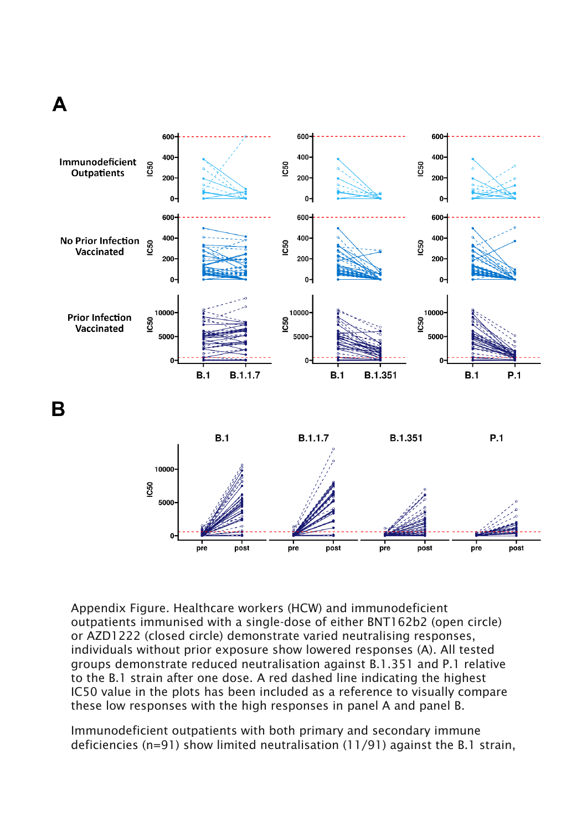

Appendix Figure. Healthcare workers (HCW) and immunodeficient outpatients immunised with a single-dose of either BNT162b2 (open circle) or AZD1222 (closed circle) demonstrate varied neutralising responses, individuals without prior exposure show lowered responses (A). All tested groups demonstrate reduced neutralisation against B.1.351 and P.1 relative to the B.1 strain after one dose. A red dashed line indicating the highest IC50 value in the plots has been included as a reference to visually compare these low responses with the high responses in panel A and panel B.

Immunodeficient outpatients with both primary and secondary immune deficiencies (n=91) show limited neutralisation (11/91) against the B.1 strain,